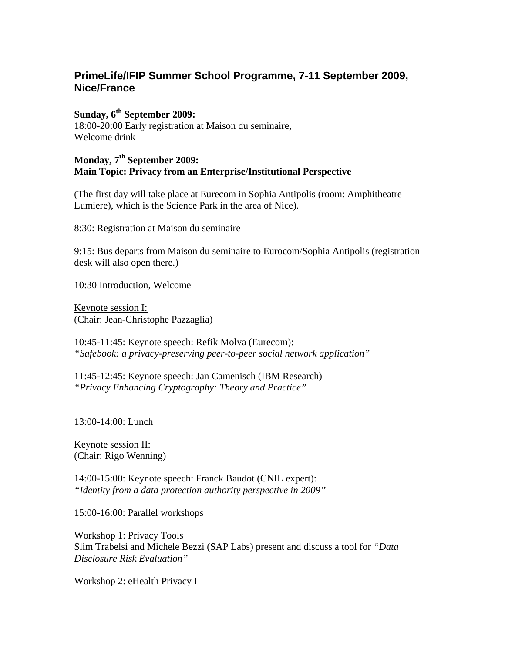# **PrimeLife/IFIP Summer School Programme, 7-11 September 2009, Nice/France**

# **Sunday, 6th September 2009:**

18:00-20:00 Early registration at Maison du seminaire, Welcome drink

## **Monday, 7th September 2009: Main Topic: Privacy from an Enterprise/Institutional Perspective**

(The first day will take place at Eurecom in Sophia Antipolis (room: Amphitheatre Lumiere), which is the Science Park in the area of Nice).

8:30: Registration at Maison du seminaire

9:15: Bus departs from Maison du seminaire to Eurocom/Sophia Antipolis (registration desk will also open there.)

10:30 Introduction, Welcome

Keynote session I: (Chair: Jean-Christophe Pazzaglia)

10:45-11:45: Keynote speech: Refik Molva (Eurecom): *"Safebook: a privacy-preserving peer-to-peer social network application"* 

11:45-12:45: Keynote speech: Jan Camenisch (IBM Research) *"Privacy Enhancing Cryptography: Theory and Practice"* 

13:00-14:00: Lunch

Keynote session II: (Chair: Rigo Wenning)

14:00-15:00: Keynote speech: Franck Baudot (CNIL expert): *"Identity from a data protection authority perspective in 2009"* 

15:00-16:00: Parallel workshops

Workshop 1: Privacy Tools Slim Trabelsi and Michele Bezzi (SAP Labs) present and discuss a tool for *"Data Disclosure Risk Evaluation"* 

Workshop 2: eHealth Privacy I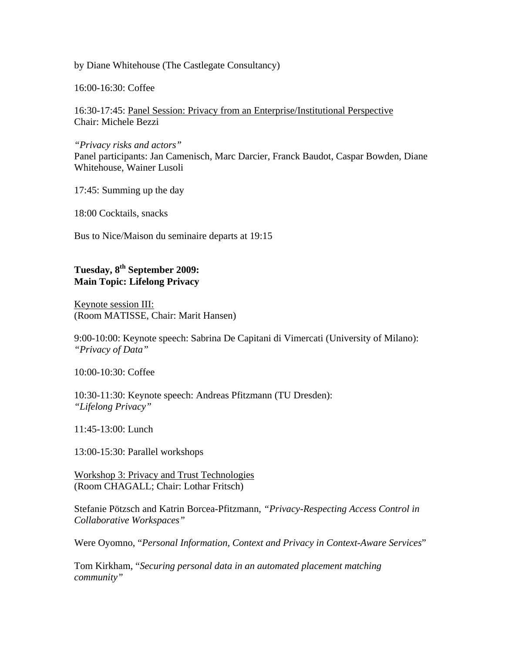by Diane Whitehouse (The Castlegate Consultancy)

16:00-16:30: Coffee

16:30-17:45: Panel Session: Privacy from an Enterprise/Institutional Perspective Chair: Michele Bezzi

*"Privacy risks and actors"* Panel participants: Jan Camenisch, Marc Darcier, Franck Baudot, Caspar Bowden, Diane Whitehouse, Wainer Lusoli

17:45: Summing up the day

18:00 Cocktails, snacks

Bus to Nice/Maison du seminaire departs at 19:15

### **Tuesday, 8th September 2009: Main Topic: Lifelong Privacy**

Keynote session III: (Room MATISSE, Chair: Marit Hansen)

9:00-10:00: Keynote speech: Sabrina De Capitani di Vimercati (University of Milano): *"Privacy of Data"* 

10:00-10:30: Coffee

10:30-11:30: Keynote speech: Andreas Pfitzmann (TU Dresden): *"Lifelong Privacy"* 

11:45-13:00: Lunch

13:00-15:30: Parallel workshops

Workshop 3: Privacy and Trust Technologies (Room CHAGALL; Chair: Lothar Fritsch)

Stefanie Pötzsch and Katrin Borcea-Pfitzmann, *"Privacy-Respecting Access Control in Collaborative Workspaces"* 

Were Oyomno, "*Personal Information, Context and Privacy in Context-Aware Services*"

Tom Kirkham, "*Securing personal data in an automated placement matching community"*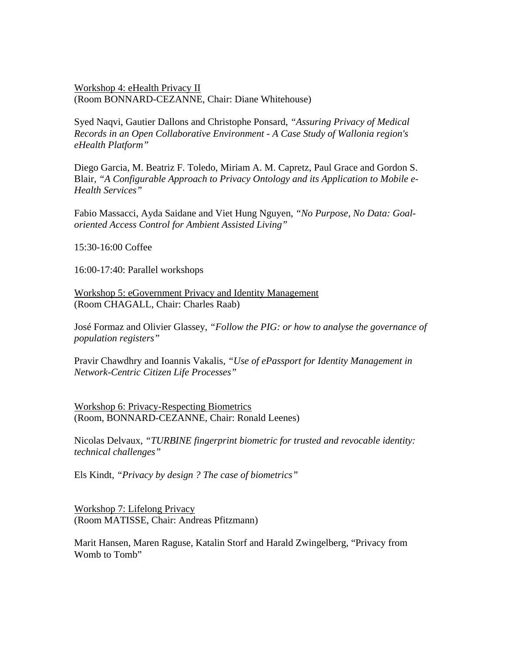Workshop 4: eHealth Privacy II (Room BONNARD-CEZANNE, Chair: Diane Whitehouse)

Syed Naqvi, Gautier Dallons and Christophe Ponsard, *"Assuring Privacy of Medical Records in an Open Collaborative Environment - A Case Study of Wallonia region's eHealth Platform"* 

Diego Garcia, M. Beatriz F. Toledo, Miriam A. M. Capretz, Paul Grace and Gordon S. Blair, *"A Configurable Approach to Privacy Ontology and its Application to Mobile e-Health Services"*

Fabio Massacci, Ayda Saidane and Viet Hung Nguyen, *"No Purpose, No Data: Goaloriented Access Control for Ambient Assisted Living"*

15:30-16:00 Coffee

16:00-17:40: Parallel workshops

Workshop 5: eGovernment Privacy and Identity Management (Room CHAGALL, Chair: Charles Raab)

José Formaz and Olivier Glassey, *"Follow the PIG: or how to analyse the governance of population registers"* 

Pravir Chawdhry and Ioannis Vakalis, *"Use of ePassport for Identity Management in Network-Centric Citizen Life Processes"*

Workshop 6: Privacy-Respecting Biometrics (Room, BONNARD-CEZANNE, Chair: Ronald Leenes)

Nicolas Delvaux, *"TURBINE fingerprint biometric for trusted and revocable identity: technical challenges"*

Els Kindt, *"Privacy by design ? The case of biometrics"*

Workshop 7: Lifelong Privacy (Room MATISSE, Chair: Andreas Pfitzmann)

Marit Hansen, Maren Raguse, Katalin Storf and Harald Zwingelberg, "Privacy from Womb to Tomb"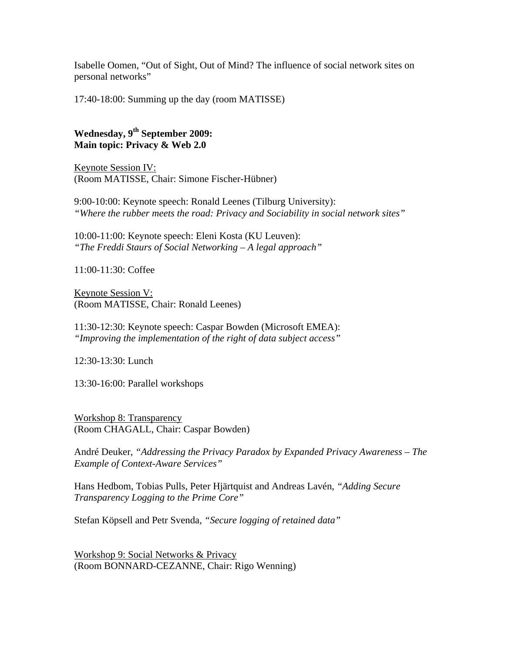Isabelle Oomen, "Out of Sight, Out of Mind? The influence of social network sites on personal networks"

17:40-18:00: Summing up the day (room MATISSE)

## **Wednesday, 9th September 2009: Main topic: Privacy & Web 2.0**

Keynote Session IV: (Room MATISSE, Chair: Simone Fischer-Hübner)

9:00-10:00: Keynote speech: Ronald Leenes (Tilburg University): *"Where the rubber meets the road: Privacy and Sociability in social network sites"* 

10:00-11:00: Keynote speech: Eleni Kosta (KU Leuven): *"The Freddi Staurs of Social Networking – A legal approach"* 

11:00-11:30: Coffee

Keynote Session V: (Room MATISSE, Chair: Ronald Leenes)

11:30-12:30: Keynote speech: Caspar Bowden (Microsoft EMEA): *"Improving the implementation of the right of data subject access"* 

12:30-13:30: Lunch

13:30-16:00: Parallel workshops

Workshop 8: Transparency (Room CHAGALL, Chair: Caspar Bowden)

André Deuker, *"Addressing the Privacy Paradox by Expanded Privacy Awareness – The Example of Context-Aware Services"* 

Hans Hedbom, Tobias Pulls, Peter Hjärtquist and Andreas Lavén, *"Adding Secure Transparency Logging to the Prime Core"*

Stefan Köpsell and Petr Svenda*, "Secure logging of retained data"* 

Workshop 9: Social Networks & Privacy (Room BONNARD-CEZANNE, Chair: Rigo Wenning)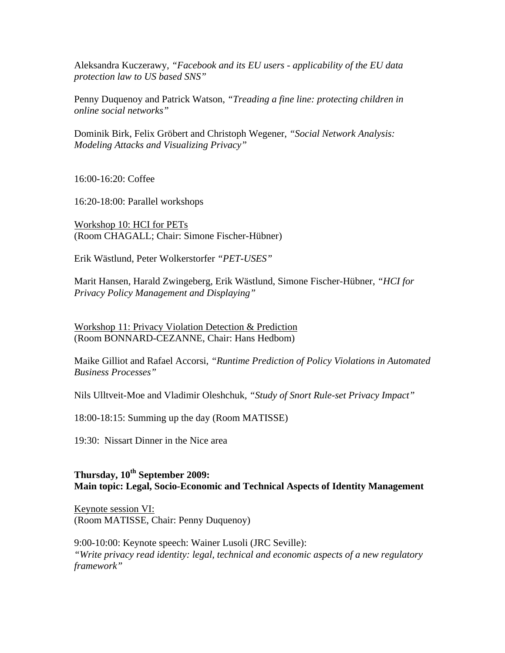Aleksandra Kuczerawy, *"Facebook and its EU users - applicability of the EU data protection law to US based SNS"*

Penny Duquenoy and Patrick Watson, *"Treading a fine line: protecting children in online social networks"* 

Dominik Birk, Felix Gröbert and Christoph Wegener, *"Social Network Analysis: Modeling Attacks and Visualizing Privacy"* 

16:00-16:20: Coffee

16:20-18:00: Parallel workshops

Workshop 10: HCI for PETs (Room CHAGALL; Chair: Simone Fischer-Hübner)

Erik Wästlund, Peter Wolkerstorfer *"PET-USES"*

Marit Hansen, Harald Zwingeberg, Erik Wästlund, Simone Fischer-Hübner, *"HCI for Privacy Policy Management and Displaying"* 

Workshop 11: Privacy Violation Detection & Prediction (Room BONNARD-CEZANNE, Chair: Hans Hedbom)

Maike Gilliot and Rafael Accorsi, *"Runtime Prediction of Policy Violations in Automated Business Processes"* 

Nils Ulltveit-Moe and Vladimir Oleshchuk*, "Study of Snort Rule-set Privacy Impact"* 

18:00-18:15: Summing up the day (Room MATISSE)

19:30: Nissart Dinner in the Nice area

#### Thursday,  $10^{th}$  September 2009: **Main topic: Legal, Socio-Economic and Technical Aspects of Identity Management**

Keynote session VI: (Room MATISSE, Chair: Penny Duquenoy)

9:00-10:00: Keynote speech: Wainer Lusoli (JRC Seville): *"Write privacy read identity: legal, technical and economic aspects of a new regulatory framework"*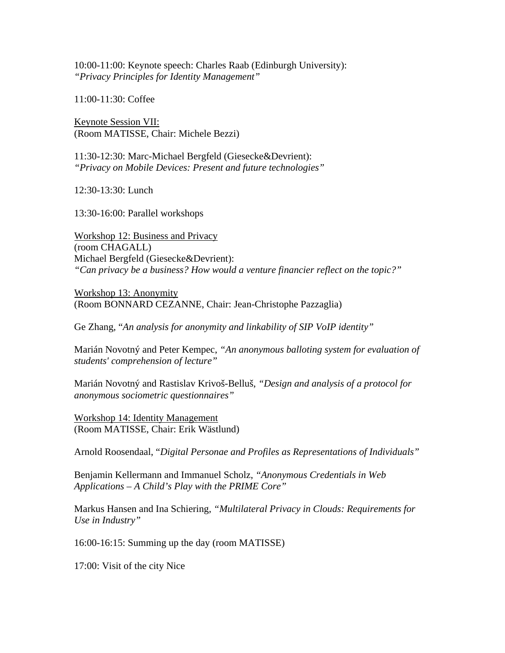10:00-11:00: Keynote speech: Charles Raab (Edinburgh University): *"Privacy Principles for Identity Management"* 

11:00-11:30: Coffee

Keynote Session VII: (Room MATISSE, Chair: Michele Bezzi)

11:30-12:30: Marc-Michael Bergfeld (Giesecke&Devrient): *"Privacy on Mobile Devices: Present and future technologies"* 

12:30-13:30: Lunch

13:30-16:00: Parallel workshops

Workshop 12: Business and Privacy (room CHAGALL) Michael Bergfeld (Giesecke&Devrient): *"Can privacy be a business? How would a venture financier reflect on the topic?"* 

Workshop 13: Anonymity (Room BONNARD CEZANNE, Chair: Jean-Christophe Pazzaglia)

Ge Zhang, "*An analysis for anonymity and linkability of SIP VoIP identity"*

Marián Novotný and Peter Kempec, *"An anonymous balloting system for evaluation of students' comprehension of lecture"* 

Marián Novotný and Rastislav Krivoš-Belluš, *"Design and analysis of a protocol for anonymous sociometric questionnaires"* 

Workshop 14: Identity Management (Room MATISSE, Chair: Erik Wästlund)

Arnold Roosendaal, "*Digital Personae and Profiles as Representations of Individuals"*

Benjamin Kellermann and Immanuel Scholz, *"Anonymous Credentials in Web Applications – A Child's Play with the PRIME Core"*

Markus Hansen and Ina Schiering, *"Multilateral Privacy in Clouds: Requirements for Use in Industry"* 

16:00-16:15: Summing up the day (room MATISSE)

17:00: Visit of the city Nice